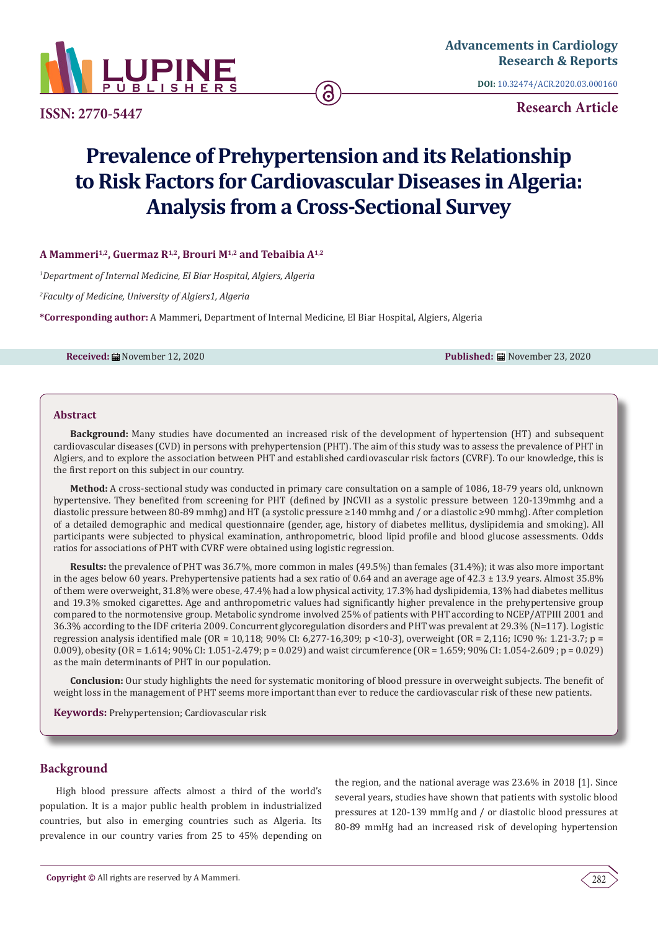

**ISSN: 2770-5447**

**DOI:** [10.32474/ACR.2020.03.000160](http://dx.doi.org/10.32474/ACR.2020.03.000160)

**Research Article**

# **Prevalence of Prehypertension and its Relationship to Risk Factors for Cardiovascular Diseases in Algeria: Analysis from a Cross-Sectional Survey**

**A Mammeri1,2, Guermaz R1,2, Brouri M1,2 and Tebaibia A1,2**

*1 Department of Internal Medicine, El Biar Hospital, Algiers, Algeria*

*2 Faculty of Medicine, University of Algiers1, Algeria*

**\*Corresponding author:** A Mammeri, Department of Internal Medicine, El Biar Hospital, Algiers, Algeria

**Received:** November 12, 2020 **Published:** November 23, 2020

#### **Abstract**

**Background:** Many studies have documented an increased risk of the development of hypertension (HT) and subsequent cardiovascular diseases (CVD) in persons with prehypertension (PHT). The aim of this study was to assess the prevalence of PHT in Algiers, and to explore the association between PHT and established cardiovascular risk factors (CVRF). To our knowledge, this is the first report on this subject in our country.

**Method:** A cross-sectional study was conducted in primary care consultation on a sample of 1086, 18-79 years old, unknown hypertensive. They benefited from screening for PHT (defined by JNCVII as a systolic pressure between 120-139mmhg and a diastolic pressure between 80-89 mmhg) and HT (a systolic pressure ≥140 mmhg and / or a diastolic ≥90 mmhg). After completion of a detailed demographic and medical questionnaire (gender, age, history of diabetes mellitus, dyslipidemia and smoking). All participants were subjected to physical examination, anthropometric, blood lipid profile and blood glucose assessments. Odds ratios for associations of PHT with CVRF were obtained using logistic regression.

**Results:** the prevalence of PHT was 36.7%, more common in males (49.5%) than females (31.4%); it was also more important in the ages below 60 years. Prehypertensive patients had a sex ratio of 0.64 and an average age of 42.3 ± 13.9 years. Almost 35.8% of them were overweight, 31.8% were obese, 47.4% had a low physical activity, 17.3% had dyslipidemia, 13% had diabetes mellitus and 19.3% smoked cigarettes. Age and anthropometric values had significantly higher prevalence in the prehypertensive group compared to the normotensive group. Metabolic syndrome involved 25% of patients with PHT according to NCEP/ATPIII 2001 and 36.3% according to the IDF criteria 2009. Concurrent glycoregulation disorders and PHT was prevalent at 29.3% (N=117). Logistic regression analysis identified male (OR = 10,118; 90% CI: 6,277-16,309; p <10-3), overweight (OR = 2,116; IC90 %: 1.21-3.7; p = 0.009), obesity (OR = 1.614; 90% CI: 1.051-2.479; p = 0.029) and waist circumference (OR = 1.659; 90% CI: 1.054-2.609 ; p = 0.029) as the main determinants of PHT in our population.

**Conclusion:** Our study highlights the need for systematic monitoring of blood pressure in overweight subjects. The benefit of weight loss in the management of PHT seems more important than ever to reduce the cardiovascular risk of these new patients.

**Keywords:** Prehypertension; Cardiovascular risk

# **Background**

High blood pressure affects almost a third of the world's population. It is a major public health problem in industrialized countries, but also in emerging countries such as Algeria. Its prevalence in our country varies from 25 to 45% depending on the region, and the national average was 23.6% in 2018 [1]. Since several years, studies have shown that patients with systolic blood pressures at 120-139 mmHg and / or diastolic blood pressures at 80-89 mmHg had an increased risk of developing hypertension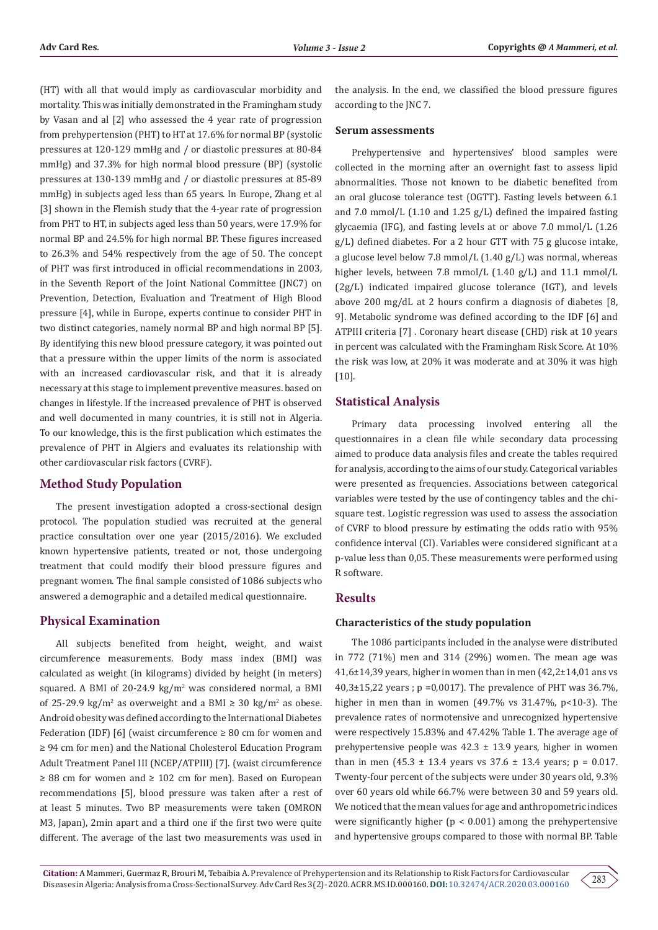(HT) with all that would imply as cardiovascular morbidity and mortality. This was initially demonstrated in the Framingham study by Vasan and al [2] who assessed the 4 year rate of progression from prehypertension (PHT) to HT at 17.6% for normal BP (systolic pressures at 120-129 mmHg and / or diastolic pressures at 80-84 mmHg) and 37.3% for high normal blood pressure (BP) (systolic pressures at 130-139 mmHg and / or diastolic pressures at 85-89 mmHg) in subjects aged less than 65 years. In Europe, Zhang et al [3] shown in the Flemish study that the 4-year rate of progression from PHT to HT, in subjects aged less than 50 years, were 17.9% for normal BP and 24.5% for high normal BP. These figures increased to 26.3% and 54% respectively from the age of 50. The concept of PHT was first introduced in official recommendations in 2003, in the Seventh Report of the Joint National Committee (JNC7) on Prevention, Detection, Evaluation and Treatment of High Blood pressure [4], while in Europe, experts continue to consider PHT in two distinct categories, namely normal BP and high normal BP [5]. By identifying this new blood pressure category, it was pointed out that a pressure within the upper limits of the norm is associated with an increased cardiovascular risk, and that it is already necessary at this stage to implement preventive measures. based on changes in lifestyle. If the increased prevalence of PHT is observed and well documented in many countries, it is still not in Algeria. To our knowledge, this is the first publication which estimates the prevalence of PHT in Algiers and evaluates its relationship with other cardiovascular risk factors (CVRF).

# **Method Study Population**

The present investigation adopted a cross-sectional design protocol. The population studied was recruited at the general practice consultation over one year (2015/2016). We excluded known hypertensive patients, treated or not, those undergoing treatment that could modify their blood pressure figures and pregnant women. The final sample consisted of 1086 subjects who answered a demographic and a detailed medical questionnaire.

# **Physical Examination**

All subjects benefited from height, weight, and waist circumference measurements. Body mass index (BMI) was calculated as weight (in kilograms) divided by height (in meters) squared. A BMI of 20-24.9 kg/m<sup>2</sup> was considered normal, a BMI of 25-29.9 kg/m<sup>2</sup> as overweight and a BMI ≥ 30 kg/m<sup>2</sup> as obese. Android obesity was defined according to the International Diabetes Federation (IDF) [6] (waist circumference  $\geq 80$  cm for women and ≥ 94 cm for men) and the National Cholesterol Education Program Adult Treatment Panel III (NCEP/ATPIII) [7]. (waist circumference ≥ 88 cm for women and ≥ 102 cm for men). Based on European recommendations [5], blood pressure was taken after a rest of at least 5 minutes. Two BP measurements were taken (OMRON M3, Japan), 2min apart and a third one if the first two were quite different. The average of the last two measurements was used in

the analysis. In the end, we classified the blood pressure figures according to the JNC 7.

#### **Serum assessments**

Prehypertensive and hypertensives' blood samples were collected in the morning after an overnight fast to assess lipid abnormalities. Those not known to be diabetic benefited from an oral glucose tolerance test (OGTT). Fasting levels between 6.1 and 7.0 mmol/L (1.10 and 1.25 g/L) defined the impaired fasting glycaemia (IFG), and fasting levels at or above 7.0 mmol/L (1.26 g/L) defined diabetes. For a 2 hour GTT with 75 g glucose intake, a glucose level below 7.8 mmol/L (1.40 g/L) was normal, whereas higher levels, between 7.8 mmol/L (1.40 g/L) and 11.1 mmol/L (2g/L) indicated impaired glucose tolerance (IGT), and levels above 200 mg/dL at 2 hours confirm a diagnosis of diabetes [8, 9]. Metabolic syndrome was defined according to the IDF [6] and ATPIII criteria [7] . Coronary heart disease (CHD) risk at 10 years in percent was calculated with the Framingham Risk Score. At 10% the risk was low, at 20% it was moderate and at 30% it was high [10].

# **Statistical Analysis**

Primary data processing involved entering all the questionnaires in a clean file while secondary data processing aimed to produce data analysis files and create the tables required for analysis, according to the aims of our study. Categorical variables were presented as frequencies. Associations between categorical variables were tested by the use of contingency tables and the chisquare test. Logistic regression was used to assess the association of CVRF to blood pressure by estimating the odds ratio with 95% confidence interval (CI). Variables were considered significant at a p-value less than 0,05. These measurements were performed using R software.

# **Results**

#### **Characteristics of the study population**

The 1086 participants included in the analyse were distributed in 772 (71%) men and 314 (29%) women. The mean age was 41,6±14,39 years, higher in women than in men (42,2±14,01 ans vs  $40,3\pm15,22$  years; p =0,0017). The prevalence of PHT was  $36.7\%$ , higher in men than in women  $(49.7\% \text{ vs } 31.47\%, \text{ p} < 10-3)$ . The prevalence rates of normotensive and unrecognized hypertensive were respectively 15.83% and 47.42% Table 1. The average age of prehypertensive people was  $42.3 \pm 13.9$  years, higher in women than in men  $(45.3 \pm 13.4 \text{ years} \text{ vs } 37.6 \pm 13.4 \text{ years}; \text{ p} = 0.017.$ Twenty-four percent of the subjects were under 30 years old, 9.3% over 60 years old while 66.7% were between 30 and 59 years old. We noticed that the mean values for age and anthropometric indices were significantly higher ( $p < 0.001$ ) among the prehypertensive and hypertensive groups compared to those with normal BP. Table

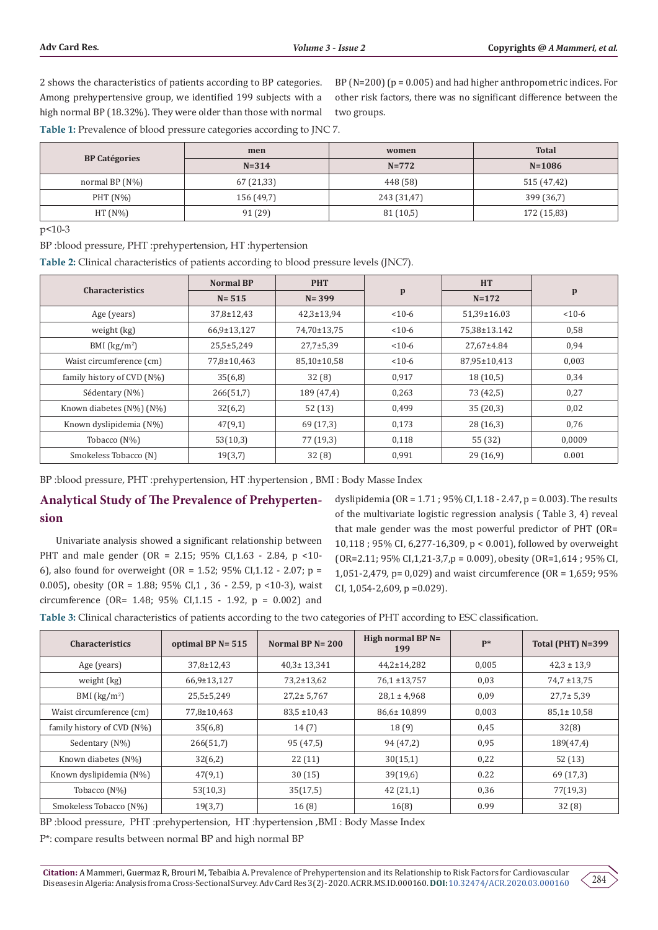2 shows the characteristics of patients according to BP categories. Among prehypertensive group, we identified 199 subjects with a high normal BP (18.32%). They were older than those with normal

BP ( $N=200$ ) ( $p = 0.005$ ) and had higher anthropometric indices. For other risk factors, there was no significant difference between the two groups.

**Table 1:** Prevalence of blood pressure categories according to JNC 7.

|                      | men        | women       | <b>Total</b> |  |
|----------------------|------------|-------------|--------------|--|
| <b>BP Catégories</b> | $N = 314$  | $N = 772$   | $N = 1086$   |  |
| normal BP $(N\%)$    | 67 (21,33) | 448 (58)    | 515 (47,42)  |  |
| $PHT(N\%)$           | 156 (49,7) | 243 (31,47) | 399 (36,7)   |  |
| $HT(N\%)$            | 91 (29)    | 81(10,5)    | 172 (15,83)  |  |

p<10-3

BP :blood pressure, PHT :prehypertension, HT :hypertension

**Table 2:** Clinical characteristics of patients according to blood pressure levels (JNC7).

| <b>Characteristics</b>     | <b>Normal BP</b> | <b>PHT</b>       | $\mathbf{p}$ | <b>HT</b>    | $\mathbf{p}$ |
|----------------------------|------------------|------------------|--------------|--------------|--------------|
|                            | $N = 515$        | $N = 399$        |              | $N = 172$    |              |
| Age (years)                | 37,8±12,43       | $42,3 \pm 13,94$ | $< 10-6$     | 51,39±16.03  | $< 10-6$     |
| weight (kg)                | 66,9±13,127      | 74,70±13,75      | $< 10-6$     | 75.38±13.142 | 0,58         |
| BMI $(kg/m2)$              | $25,5+5,249$     | $27,7 \pm 5,39$  | $< 10-6$     | 27,67±4.84   | 0,94         |
| Waist circumference (cm)   | 77,8±10,463      | 85,10±10,58      | $< 10-6$     | 87,95±10,413 | 0,003        |
| family history of CVD (N%) | 35(6,8)          | 32(8)            | 0,917        | 18(10,5)     | 0,34         |
| Sédentary (N%)             | 266(51,7)        | 189 (47,4)       | 0,263        | 73 (42,5)    | 0,27         |
| Known diabetes (N%) (N%)   | 32(6,2)          | 52(13)           | 0,499        | 35(20,3)     | 0,02         |
| Known dyslipidemia (N%)    | 47(9,1)          | 69 (17,3)        | 0,173        | 28(16,3)     | 0,76         |
| Tobacco (N%)               | 53(10,3)         | 77 (19,3)        | 0,118        | 55 (32)      | 0,0009       |
| Smokeless Tobacco (N)      | 19(3,7)          | 32(8)            | 0,991        | 29(16,9)     | 0.001        |

BP :blood pressure, PHT :prehypertension, HT :hypertension , BMI : Body Masse Index

# **Analytical Study of The Prevalence of Prehypertension**

Univariate analysis showed a significant relationship between PHT and male gender (OR = 2.15; 95% CI,1.63 - 2.84, p <10- 6), also found for overweight (OR = 1.52; 95% CI,1.12 - 2.07; p = 0.005), obesity (OR = 1.88; 95% CI,1 , 36 - 2.59, p <10-3), waist circumference (OR= 1.48; 95% CI,1.15 - 1.92, p = 0.002) and

dyslipidemia (OR = 1.71 ; 95% CI,1.18 - 2.47, p = 0.003). The results of the multivariate logistic regression analysis ( Table 3, 4) reveal that male gender was the most powerful predictor of PHT (OR= 10,118 ; 95% CI, 6,277-16,309, p < 0.001), followed by overweight (OR=2.11; 95% CI,1,21-3,7,p = 0.009), obesity (OR=1,614 ; 95% CI, 1,051-2,479, p= 0,029) and waist circumference (OR = 1,659; 95% CI,  $1,054-2,609$ ,  $p = 0.029$ ).

**Table 3:** Clinical characteristics of patients according to the two categories of PHT according to ESC classification.

| <b>Characteristics</b>     | optimal BP $N = 515$ | Normal BP $N = 200$ | High normal $BPN=$<br>199 | $P*$  | Total (PHT) N=399 |
|----------------------------|----------------------|---------------------|---------------------------|-------|-------------------|
| Age (years)                | $37,8 \pm 12,43$     | $40.3 \pm 13.341$   | $44,2 \pm 14,282$         | 0,005 | $42.3 \pm 13.9$   |
| weight (kg)                | 66,9±13,127          | $73,2 \pm 13,62$    | 76,1 ±13,757              | 0,03  | $74.7 \pm 13.75$  |
| BMI $(kg/m2)$              | $25,5 \pm 5,249$     | $27.2 \pm 5.767$    | $28.1 \pm 4.968$          | 0,09  | $27.7 \pm 5.39$   |
| Waist circumference (cm)   | 77,8±10,463          | $83.5 \pm 10.43$    | 86,6±10,899               | 0,003 | $85.1 \pm 10.58$  |
| family history of CVD (N%) | 35(6,8)              | 14(7)               | 18(9)                     | 0,45  | 32(8)             |
| Sedentary (N%)             | 266(51,7)            | 95 (47,5)           | 94 (47,2)                 | 0,95  | 189(47,4)         |
| Known diabetes (N%)        | 32(6,2)              | 22(11)              | 30(15,1)                  | 0,22  | 52(13)            |
| Known dyslipidemia (N%)    | 47(9,1)              | 30(15)              | 39(19,6)                  | 0.22  | 69 (17,3)         |
| Tobacco (N%)               | 53(10,3)             | 35(17,5)            | 42(21,1)                  | 0,36  | 77(19,3)          |
| Smokeless Tobacco (N%)     | 19(3,7)              | 16(8)               | 16(8)                     | 0.99  | 32(8)             |

BP :blood pressure, PHT :prehypertension, HT :hypertension ,BMI : Body Masse Index

P\*: compare results between normal BP and high normal BP

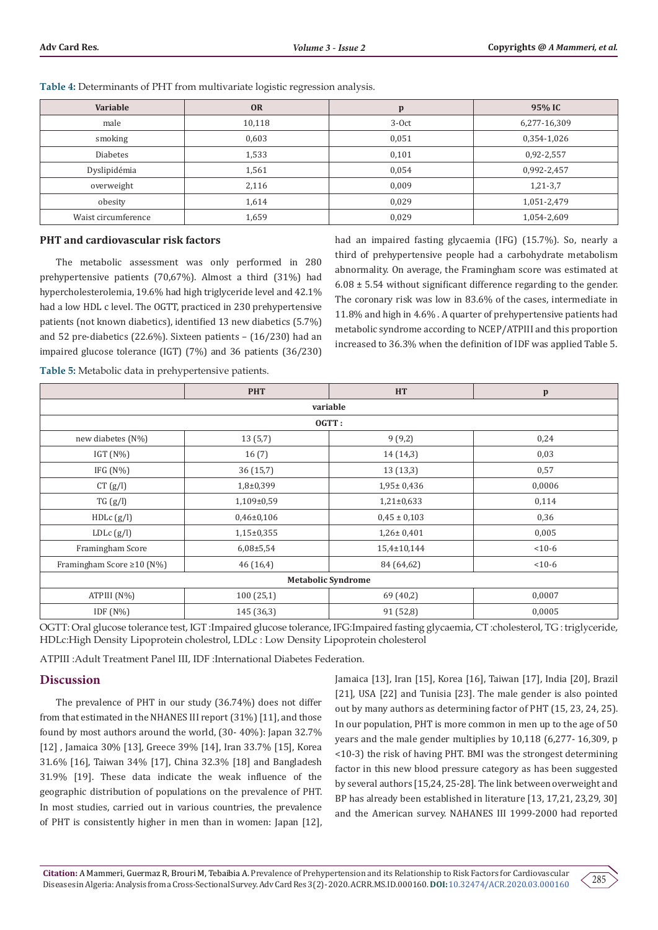| Variable            | <b>OR</b> | p       | 95% IC       |
|---------------------|-----------|---------|--------------|
| male                | 10,118    | $3-0ct$ | 6,277-16,309 |
| smoking             | 0,603     | 0,051   | 0,354-1,026  |
| <b>Diabetes</b>     | 1,533     | 0,101   | 0,92-2,557   |
| Dyslipidémia        | 1,561     | 0,054   | 0,992-2,457  |
| overweight          | 2,116     | 0.009   | $1,21-3,7$   |
| obesity             | 1,614     | 0,029   | 1,051-2,479  |
| Waist circumference | 1,659     | 0,029   | 1,054-2,609  |

**Table 4:** Determinants of PHT from multivariate logistic regression analysis.

#### **PHT and cardiovascular risk factors**

The metabolic assessment was only performed in 280 prehypertensive patients (70,67%). Almost a third (31%) had hypercholesterolemia, 19.6% had high triglyceride level and 42.1% had a low HDL c level. The OGTT, practiced in 230 prehypertensive patients (not known diabetics), identified 13 new diabetics (5.7%) and 52 pre-diabetics (22.6%). Sixteen patients – (16/230) had an impaired glucose tolerance (IGT) (7%) and 36 patients (36/230) had an impaired fasting glycaemia (IFG) (15.7%). So, nearly a third of prehypertensive people had a carbohydrate metabolism abnormality. On average, the Framingham score was estimated at  $6.08 \pm 5.54$  without significant difference regarding to the gender. The coronary risk was low in 83.6% of the cases, intermediate in 11.8% and high in 4.6% . A quarter of prehypertensive patients had metabolic syndrome according to NCEP/ATPIII and this proportion increased to 36.3% when the definition of IDF was applied Table 5.

**Table 5:** Metabolic data in prehypertensive patients.

|                                 | <b>PHT</b>      | HT               |              |  |  |
|---------------------------------|-----------------|------------------|--------------|--|--|
|                                 |                 |                  | $\, {\bf p}$ |  |  |
| variable                        |                 |                  |              |  |  |
| OGTT:                           |                 |                  |              |  |  |
| new diabetes (N%)               | 13(5,7)         | 9(9,2)           | 0,24         |  |  |
| IGT $(N\%)$                     | 16(7)           | 14 (14,3)        | 0,03         |  |  |
| IFG $(N\%)$                     | 36(15,7)        | 13(13,3)         | 0,57         |  |  |
| CT (g/l)                        | $1,8+0,399$     | $1,95 \pm 0,436$ | 0,0006       |  |  |
| TG(g/l)                         | 1,109±0,59      | $1,21\pm0,633$   | 0,114        |  |  |
| HDLc (g/l)                      | $0,46\pm0,106$  | $0.45 \pm 0.103$ | 0,36         |  |  |
| $LDLc$ $(g/l)$                  | $1,15\pm0,355$  | $1,26 \pm 0,401$ | 0,005        |  |  |
| Framingham Score                | $6,08 \pm 5,54$ | 15,4±10,144      | $< 10-6$     |  |  |
| Framingham Score $\geq 10$ (N%) | 46 (16,4)       | 84 (64,62)       | $< 10-6$     |  |  |
| <b>Metabolic Syndrome</b>       |                 |                  |              |  |  |
| ATPIII (N%)                     | 100(25,1)       | 69 (40,2)        | 0,0007       |  |  |
| IDF $(N\%)$                     | 145 (36,3)      | 91 (52,8)        | 0,0005       |  |  |
|                                 |                 |                  |              |  |  |

OGTT: Oral glucose tolerance test, IGT :Impaired glucose tolerance, IFG:Impaired fasting glycaemia, CT :cholesterol, TG : triglyceride, HDLc:High Density Lipoprotein cholestrol, LDLc : Low Density Lipoprotein cholesterol

ATPIII :Adult Treatment Panel III, IDF :International Diabetes Federation.

#### **Discussion**

The prevalence of PHT in our study (36.74%) does not differ from that estimated in the NHANES III report (31%) [11], and those found by most authors around the world, (30- 40%): Japan 32.7% [12] , Jamaica 30% [13], Greece 39% [14], Iran 33.7% [15], Korea 31.6% [16], Taiwan 34% [17], China 32.3% [18] and Bangladesh 31.9% [19]. These data indicate the weak influence of the geographic distribution of populations on the prevalence of PHT. In most studies, carried out in various countries, the prevalence of PHT is consistently higher in men than in women: Japan [12], Jamaica [13], Iran [15], Korea [16], Taiwan [17], India [20], Brazil [21], USA [22] and Tunisia [23]. The male gender is also pointed out by many authors as determining factor of PHT (15, 23, 24, 25). In our population, PHT is more common in men up to the age of 50 years and the male gender multiplies by 10,118 (6,277- 16,309, p <10-3) the risk of having PHT. BMI was the strongest determining factor in this new blood pressure category as has been suggested by several authors [15,24, 25-28]. The link between overweight and BP has already been established in literature [13, 17,21, 23,29, 30] and the American survey. NAHANES III 1999-2000 had reported

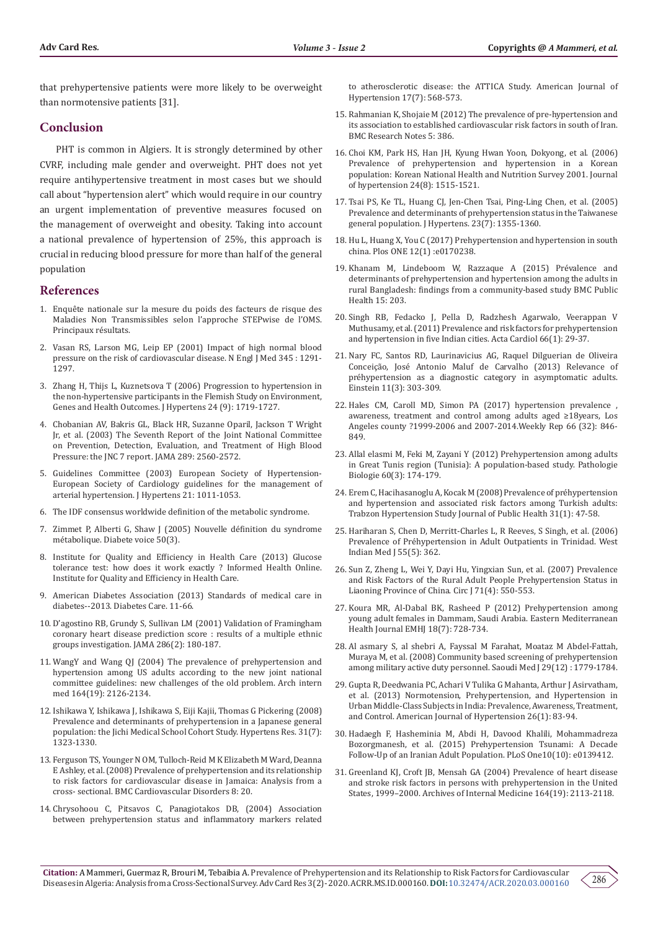that prehypertensive patients were more likely to be overweight than normotensive patients [31].

# **Conclusion**

PHT is common in Algiers. It is strongly determined by other CVRF, including male gender and overweight. PHT does not yet require antihypertensive treatment in most cases but we should call about "hypertension alert" which would require in our country an urgent implementation of preventive measures focused on the management of overweight and obesity. Taking into account a national prevalence of hypertension of 25%, this approach is crucial in reducing blood pressure for more than half of the general population

#### **References**

- 1. Enquête nationale sur la mesure du poids des facteurs de risque des Maladies Non Transmissibles selon l'approche STEPwise de l'OMS. Principaux résultats.
- 2. Vasan RS, Larson MG, Leip EP (2001) Impact of high normal blood pressure on the risk of cardiovascular disease. N Engl J Med 345 : 1291- 1297.
- 3. Zhang H, Thijs L, Kuznetsova T (2006) Progression to hypertension in the non-hypertensive participants in the Flemish Study on Environment, Genes and Health Outcomes. J Hypertens 24 (9): 1719-1727.
- 4. [Chobanian AV, Bakris GL, Black HR, Suzanne Oparil, Jackson T Wright](https://pubmed.ncbi.nlm.nih.gov/12748199/)  [Jr, et al. \(2003\) The Seventh Report of the Joint National Committee](https://pubmed.ncbi.nlm.nih.gov/12748199/)  [on Prevention, Detection, Evaluation, and Treatment of High Blood](https://pubmed.ncbi.nlm.nih.gov/12748199/)  [Pressure: the JNC 7 report. JAMA 289: 2560-2572.](https://pubmed.ncbi.nlm.nih.gov/12748199/)
- 5. Guidelines Committee (2003) European Society of Hypertension-European Society of Cardiology guidelines for the management of arterial hypertension. J Hypertens 21: 1011-1053.
- 6. The IDF consensus worldwide definition of the metabolic syndrome.
- 7. Zimmet P, Alberti G, Shaw J (2005) Nouvelle définition du syndrome métabolique. Diabete voice 50(3).
- 8. [Institute for Quality and Efficiency in Health Care \(2013\) Glucose](https://www.informedhealth.org/glucose-tolerance-test.2194.en.html)  [tolerance test: how does it work exactly ? Informed Health Online.](https://www.informedhealth.org/glucose-tolerance-test.2194.en.html)  [Institute for Quality and Efficiency in Health Care.](https://www.informedhealth.org/glucose-tolerance-test.2194.en.html)
- 9. [American Diabetes Association \(2013\) Standards of medical care in](https://jamanetwork.com/journals/jama/fullarticle/193997)  [diabetes--2013. Diabetes Care. 11-66.](https://jamanetwork.com/journals/jama/fullarticle/193997)
- 10. [D'agostino RB, Grundy S, Sullivan LM \(2001\) Validation of Framingham](https://pubmed.ncbi.nlm.nih.gov/11448281/)  [coronary heart disease prediction score : results of a multiple ethnic](https://pubmed.ncbi.nlm.nih.gov/11448281/)  [groups investigation. JAMA 286\(2\): 180-187.](https://pubmed.ncbi.nlm.nih.gov/11448281/)
- 11. [WangY and Wang QJ \(2004\) The prevalence of prehypertension and](https://pubmed.ncbi.nlm.nih.gov/15505126/)  [hypertension among US adults according to the new joint national](https://pubmed.ncbi.nlm.nih.gov/15505126/)  [committee guidelines: new challenges of the old problem. Arch intern](https://pubmed.ncbi.nlm.nih.gov/15505126/)  [med 164\(19\): 2126-2134.](https://pubmed.ncbi.nlm.nih.gov/15505126/)
- 12. [Ishikawa Y, Ishikawa J, Ishikawa S, Eiji Kajii, Thomas G Pickering \(2008\)](https://www.nature.com/articles/hr2008170)  [Prevalence and determinants of prehypertension in a Japanese general](https://www.nature.com/articles/hr2008170)  [population: the Jichi Medical School Cohort Study. Hypertens Res. 31\(7\):](https://www.nature.com/articles/hr2008170)  [1323-1330.](https://www.nature.com/articles/hr2008170)
- 13. [Ferguson TS, Younger N OM, Tulloch-Reid M K Elizabeth M Ward, Deanna](https://pubmed.ncbi.nlm.nih.gov/18752689/)  [E Ashley, et al. \(2008\) Prevalence of prehypertension and its relationship](https://pubmed.ncbi.nlm.nih.gov/18752689/)  [to risk factors for cardiovascular disease in Jamaica: Analysis from a](https://pubmed.ncbi.nlm.nih.gov/18752689/)  [cross- sectional. BMC Cardiovascular Disorders 8: 20.](https://pubmed.ncbi.nlm.nih.gov/18752689/)
- 14. [Chrysohoou C, Pitsavos C, Panagiotakos DB, \(2004\) Association](https://pubmed.ncbi.nlm.nih.gov/15233975/)  [between prehypertension status and inflammatory markers related](https://pubmed.ncbi.nlm.nih.gov/15233975/)

[to atherosclerotic disease: the ATTICA Study. American Journal of](https://pubmed.ncbi.nlm.nih.gov/15233975/) [Hypertension 17\(7\): 568-573.](https://pubmed.ncbi.nlm.nih.gov/15233975/)

- 15. [Rahmanian K, Shojaie M \(2012\) The prevalence of pre-hypertension and](https://bmcresnotes.biomedcentral.com/articles/10.1186/1756-0500-5-386) [its association to established cardiovascular risk factors in south of Iran.](https://bmcresnotes.biomedcentral.com/articles/10.1186/1756-0500-5-386) [BMC Research Notes 5: 386.](https://bmcresnotes.biomedcentral.com/articles/10.1186/1756-0500-5-386)
- 16. [Choi KM, Park HS, Han JH, Kyung Hwan Yoon, Dokyong, et al. \(2006\)](https://journals.lww.com/jhypertension/Abstract/2006/08000/Prevalence_of_prehypertension_and_hypertension_in.10.aspx) [Prevalence of prehypertension and hypertension in a Korean](https://journals.lww.com/jhypertension/Abstract/2006/08000/Prevalence_of_prehypertension_and_hypertension_in.10.aspx) [population: Korean National Health and Nutrition Survey 2001. Journal](https://journals.lww.com/jhypertension/Abstract/2006/08000/Prevalence_of_prehypertension_and_hypertension_in.10.aspx) [of hypertension 24\(8\): 1515-1521.](https://journals.lww.com/jhypertension/Abstract/2006/08000/Prevalence_of_prehypertension_and_hypertension_in.10.aspx)
- 17. [Tsai PS, Ke TL, Huang CJ, Jen-Chen Tsai, Ping-Ling Chen, et al. \(2005\)](https://pubmed.ncbi.nlm.nih.gov/15942457/) [Prevalence and determinants of prehypertension status in the Taiwanese](https://pubmed.ncbi.nlm.nih.gov/15942457/) [general population. J Hypertens. 23\(7\): 1355-1360.](https://pubmed.ncbi.nlm.nih.gov/15942457/)
- 18. Hu L, Huang X, You C (2017) Prehypertension and hypertension in south china. Plos ONE 12(1) :e0170238.
- 19. [Khanam M, Lindeboom W, Razzaque A \(2015\) Prévalence and](https://bmcpublichealth.biomedcentral.com/articles/10.1186/s12889-015-1520-0) [determinants of prehypertension and hypertension among the adults in](https://bmcpublichealth.biomedcentral.com/articles/10.1186/s12889-015-1520-0) [rural Bangladesh: findings from a community-based study BMC Public](https://bmcpublichealth.biomedcentral.com/articles/10.1186/s12889-015-1520-0) [Health 15: 203.](https://bmcpublichealth.biomedcentral.com/articles/10.1186/s12889-015-1520-0)
- 20. [Singh RB, Fedacko J, Pella D, Radzhesh Agarwalo, Veerappan V](https://pubmed.ncbi.nlm.nih.gov/21465750/) [Muthusamy, et al. \(2011\) Prevalence and risk factors for prehypertension](https://pubmed.ncbi.nlm.nih.gov/21465750/) [and hypertension in five Indian cities. Acta Cardiol 66\(1\): 29-37.](https://pubmed.ncbi.nlm.nih.gov/21465750/)
- 21. [Nary FC, Santos RD, Laurinavicius AG, Raquel Dilguerian de Oliveira](https://pubmed.ncbi.nlm.nih.gov/24136756/) [Conceição, José Antonio Maluf de Carvalho \(2013\) Relevance of](https://pubmed.ncbi.nlm.nih.gov/24136756/) [préhypertension as a diagnostic category in asymptomatic adults.](https://pubmed.ncbi.nlm.nih.gov/24136756/) [Einstein 11\(3\): 303-309.](https://pubmed.ncbi.nlm.nih.gov/24136756/)
- 22. [Hales CM, Caroll MD, Simon PA \(2017\) hypertension prevalence ,](https://pubmed.ncbi.nlm.nih.gov/28817553/) [awareness, treatment and control among adults aged ≥18years, Los](https://pubmed.ncbi.nlm.nih.gov/28817553/) [Angeles county ?1999-2006 and 2007-2014.Weekly Rep 66 \(32\): 846-](https://pubmed.ncbi.nlm.nih.gov/28817553/) [849.](https://pubmed.ncbi.nlm.nih.gov/28817553/)
- 23. [Allal elasmi M, Feki M, Zayani Y \(2012\) Prehypertension among adults](https://coek.info/pdf-prehypertension-among-adults-in-great-tunis-region-tunisia-a-population-based-ste668d4c1f0d2f06fc0f92decb28e7bce40285.html) [in Great Tunis region \(Tunisia\): A population-based study. Pathologie](https://coek.info/pdf-prehypertension-among-adults-in-great-tunis-region-tunisia-a-population-based-ste668d4c1f0d2f06fc0f92decb28e7bce40285.html) [Biologie 60\(3\): 174-179.](https://coek.info/pdf-prehypertension-among-adults-in-great-tunis-region-tunisia-a-population-based-ste668d4c1f0d2f06fc0f92decb28e7bce40285.html)
- 24. [Erem C, Hacihasanoglu A, Kocak M \(2008\) Prevalence of préhypertension](https://pubmed.ncbi.nlm.nih.gov/18829520/) [and hypertension and associated risk factors among Turkish adults:](https://pubmed.ncbi.nlm.nih.gov/18829520/) [Trabzon Hypertension Study Journal of Public Health 31\(1\): 47-58.](https://pubmed.ncbi.nlm.nih.gov/18829520/)
- 25. [Hariharan S, Chen D, Merritt-Charles L, R Reeves, S Singh, et al. \(2006\)](https://pubmed.ncbi.nlm.nih.gov/17373310/) [Prevalence of Préhypertension in Adult Outpatients in Trinidad. West](https://pubmed.ncbi.nlm.nih.gov/17373310/) [Indian Med J 55\(5\): 362.](https://pubmed.ncbi.nlm.nih.gov/17373310/)
- 26. [Sun Z, Zheng L, Wei Y, Dayi Hu, Yingxian Sun, et al. \(2007\) Prevalence](https://pubmed.ncbi.nlm.nih.gov/17384458/) [and Risk Factors of the Rural Adult People Prehypertension Status in](https://pubmed.ncbi.nlm.nih.gov/17384458/) [Liaoning Province of China. Circ J 71\(4\): 550-553.](https://pubmed.ncbi.nlm.nih.gov/17384458/)
- 27. [Koura MR, Al-Dabal BK, Rasheed P \(2012\) Prehypertension among](https://apps.who.int/iris/handle/10665/118177) [young adult females in Dammam, Saudi Arabia. Eastern Mediterranean](https://apps.who.int/iris/handle/10665/118177) [Health Journal EMHJ 18\(7\): 728-734.](https://apps.who.int/iris/handle/10665/118177)
- 28. [Al asmary S, al shebri A, Fayssal M Farahat, Moataz M Abdel-Fattah,](https://pubmed.ncbi.nlm.nih.gov/19082233/) [Muraya M, et al. \(2008\) Community based screening of prehypertension](https://pubmed.ncbi.nlm.nih.gov/19082233/) [among military active duty personnel. Saoudi Med J 29\(12\) : 1779-1784.](https://pubmed.ncbi.nlm.nih.gov/19082233/)
- 29. [Gupta R, Deedwania PC, Achari V Tulika G Mahanta, Arthur J Asirvatham,](https://pubmed.ncbi.nlm.nih.gov/23382331/) [et al. \(2013\) Normotension, Prehypertension, and Hypertension in](https://pubmed.ncbi.nlm.nih.gov/23382331/) [Urban Middle-Class Subjects in India: Prevalence, Awareness, Treatment,](https://pubmed.ncbi.nlm.nih.gov/23382331/) [and Control. American Journal of Hypertension 26\(1\): 83-94.](https://pubmed.ncbi.nlm.nih.gov/23382331/)
- 30. [Hadaegh F, Hasheminia M, Abdi H, Davood Khalili, Mohammadreza](https://pubmed.ncbi.nlm.nih.gov/26439847/) [Bozorgmanesh, et al. \(2015\) Prehypertension Tsunami: A Decade](https://pubmed.ncbi.nlm.nih.gov/26439847/) [Follow-Up of an Iranian Adult Population. PLoS One10\(10\): e0139412.](https://pubmed.ncbi.nlm.nih.gov/26439847/)
- 31. [Greenland KJ, Croft JB, Mensah GA \(2004\) Prevalence of heart disease](https://pubmed.ncbi.nlm.nih.gov/15505124/) [and stroke risk factors in persons with prehypertension in the United](https://pubmed.ncbi.nlm.nih.gov/15505124/) [States, 1999–2000. Archives of Internal Medicine 164\(19\): 2113-2118.](https://pubmed.ncbi.nlm.nih.gov/15505124/)